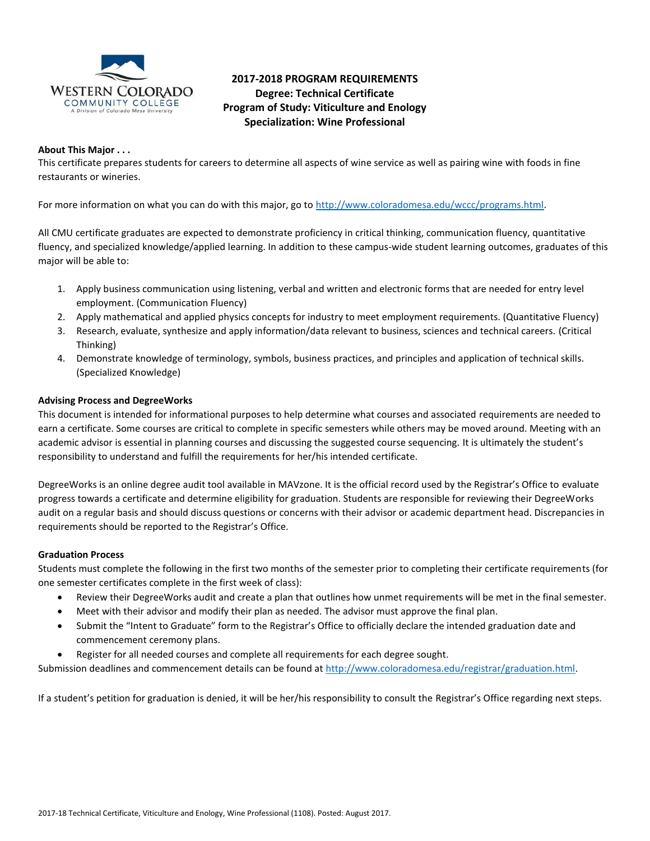

# **2017-2018 PROGRAM REQUIREMENTS Degree: Technical Certificate Program of Study: Viticulture and Enology Specialization: Wine Professional**

### **About This Major . . .**

This certificate prepares students for careers to determine all aspects of wine service as well as pairing wine with foods in fine restaurants or wineries.

For more information on what you can do with this major, go to [http://www.coloradomesa.edu/wccc/programs.html.](http://www.coloradomesa.edu/wccc/programs.html)

All CMU certificate graduates are expected to demonstrate proficiency in critical thinking, communication fluency, quantitative fluency, and specialized knowledge/applied learning. In addition to these campus-wide student learning outcomes, graduates of this major will be able to:

- 1. Apply business communication using listening, verbal and written and electronic forms that are needed for entry level employment. (Communication Fluency)
- 2. Apply mathematical and applied physics concepts for industry to meet employment requirements. (Quantitative Fluency)
- 3. Research, evaluate, synthesize and apply information/data relevant to business, sciences and technical careers. (Critical Thinking)
- 4. Demonstrate knowledge of terminology, symbols, business practices, and principles and application of technical skills. (Specialized Knowledge)

### **Advising Process and DegreeWorks**

This document is intended for informational purposes to help determine what courses and associated requirements are needed to earn a certificate. Some courses are critical to complete in specific semesters while others may be moved around. Meeting with an academic advisor is essential in planning courses and discussing the suggested course sequencing. It is ultimately the student's responsibility to understand and fulfill the requirements for her/his intended certificate.

DegreeWorks is an online degree audit tool available in MAVzone. It is the official record used by the Registrar's Office to evaluate progress towards a certificate and determine eligibility for graduation. Students are responsible for reviewing their DegreeWorks audit on a regular basis and should discuss questions or concerns with their advisor or academic department head. Discrepancies in requirements should be reported to the Registrar's Office.

#### **Graduation Process**

Students must complete the following in the first two months of the semester prior to completing their certificate requirements (for one semester certificates complete in the first week of class):

- Review their DegreeWorks audit and create a plan that outlines how unmet requirements will be met in the final semester.
- Meet with their advisor and modify their plan as needed. The advisor must approve the final plan.
- Submit the "Intent to Graduate" form to the Registrar's Office to officially declare the intended graduation date and commencement ceremony plans.
- Register for all needed courses and complete all requirements for each degree sought.

Submission deadlines and commencement details can be found at [http://www.coloradomesa.edu/registrar/graduation.html.](http://www.coloradomesa.edu/registrar/graduation.html)

If a student's petition for graduation is denied, it will be her/his responsibility to consult the Registrar's Office regarding next steps.